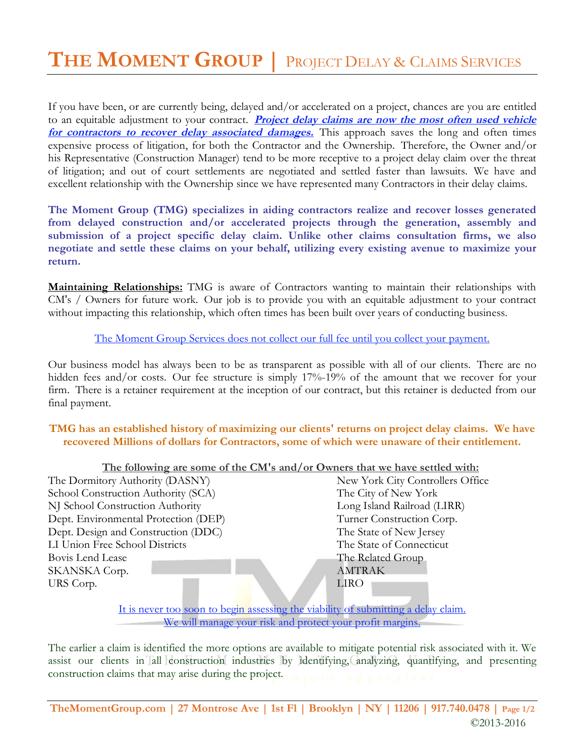If you have been, or are currently being, delayed and/or accelerated on a project, chances are you are entitled to an equitable adjustment to your contract. *Project delay claims are now the most often used vehicle for contractors to recover delay associated damages.* This approach saves the long and often times expensive process of litigation, for both the Contractor and the Ownership. Therefore, the Owner and/or his Representative (Construction Manager) tend to be more receptive to a project delay claim over the threat of litigation; and out of court settlements are negotiated and settled faster than lawsuits. We have and excellent relationship with the Ownership since we have represented many Contractors in their delay claims.

**The Moment Group (TMG) specializes in aiding contractors realize and recover losses generated from delayed construction and/or accelerated projects through the generation, assembly and submission of a project specific delay claim. Unlike other claims consultation firms, we also negotiate and settle these claims on your behalf, utilizing every existing avenue to maximize your return.**

**Maintaining Relationships:** TMG is aware of Contractors wanting to maintain their relationships with CM's / Owners for future work. Our job is to provide you with an equitable adjustment to your contract without impacting this relationship, which often times has been built over years of conducting business.

The Moment Group Services does not collect our full fee until you collect your payment.

Our business model has always been to be as transparent as possible with all of our clients. There are no hidden fees and/or costs. Our fee structure is simply 17%-19% of the amount that we recover for your firm. There is a retainer requirement at the inception of our contract, but this retainer is deducted from our final payment.

**TMG has an established history of maximizing our clients' returns on project delay claims. We have recovered Millions of dollars for Contractors, some of which were unaware of their entitlement.**

| The following are some of the CM's and/or Owners that we have settled with:       |                                  |
|-----------------------------------------------------------------------------------|----------------------------------|
| The Dormitory Authority (DASNY)                                                   | New York City Controllers Office |
| School Construction Authority (SCA)                                               | The City of New York             |
| NJ School Construction Authority                                                  | Long Island Railroad (LIRR)      |
| Dept. Environmental Protection (DEP)                                              | Turner Construction Corp.        |
| Dept. Design and Construction (DDC)                                               | The State of New Jersey          |
| LI Union Free School Districts                                                    | The State of Connecticut         |
| Bovis Lend Lease                                                                  | The Related Group                |
| SKANSKA Corp.                                                                     | <b>AMTRAK</b>                    |
| URS Corp.                                                                         | <b>LIRO</b>                      |
|                                                                                   |                                  |
| It is never too soon to begin assessing the viability of submitting a delay claim |                                  |

It is never too soon to begin assessing the viability of submitting a delay claim. We will manage your risk and protect your profit margins.

The earlier a claim is identified the more options are available to mitigate potential risk associated with it. We assist our clients in all construction industries by identifying, analyzing, quantifying, and presenting construction claims that may arise during the project.